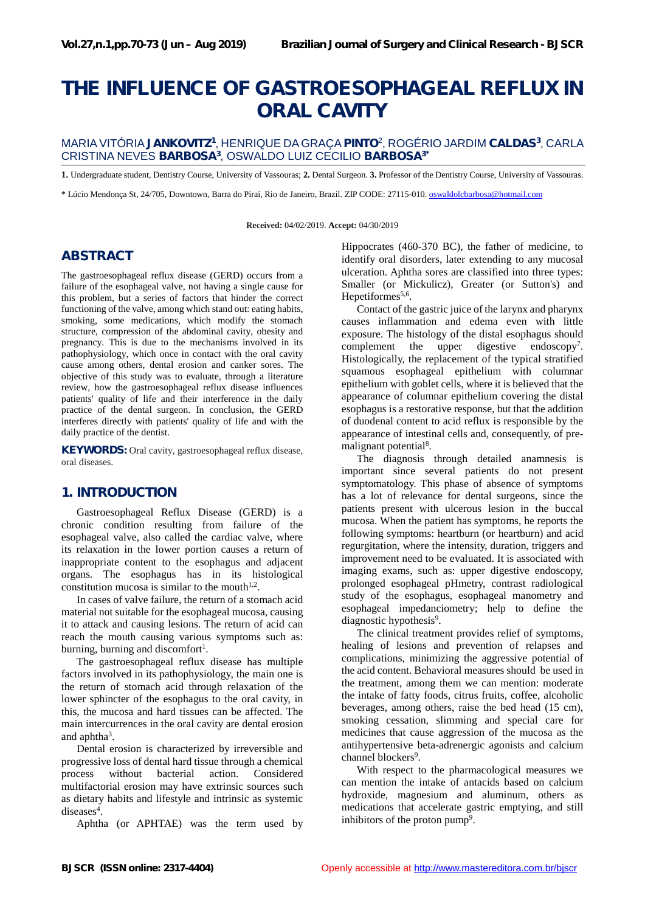# **THE INFLUENCE OF GASTROESOPHAGEAL REFLUX IN ORAL CAVITY**

#### MARIA VITÓRIA **JANKOVITZ<sup>1</sup>** , HENRIQUE DA GRAÇA**PINTO**<sup>2</sup> , ROGÉRIO JARDIM **CALDAS<sup>3</sup>** , CARLA CRISTINA NEVES **BARBOSA<sup>3</sup>** , OSWALDO LUIZ CECILIO **BARBOSA3\***

**1.** Undergraduate student, Dentistry Course, University of Vassouras; **2.** Dental Surgeon. **3.** Professor of the Dentistry Course, University of Vassouras.

\* Lúcio Mendonça St,24/705, Downtown, Barra do Piraí, Rio de Janeiro, Brazil. ZIP CODE: 27115-010. oswaldolcbarbosa@hotmail.com

**Received:** 04/02/2019. **Accept:** 04/30/2019

## **ABSTRACT**

The gastroesophageal reflux disease (GERD) occurs from a failure of the esophageal valve, not having a single cause for this problem, but a series of factors that hinder the correct functioning of the valve, among which stand out: eating habits, smoking, some medications, which modify the stomach structure, compression of the abdominal cavity, obesity and pregnancy. This is due to the mechanisms involved in its pathophysiology, which once in contact with the oral cavity cause among others, dental erosion and canker sores. The objective of this study was to evaluate, through a literature review, how the gastroesophageal reflux disease influences patients' quality of life and their interference in the daily practice of the dental surgeon. In conclusion, the GERD interferes directly with patients' quality of life and with the daily practice of the dentist.

**KEYWORDS:** Oral cavity, gastroesophageal reflux disease, oral diseases.

## **1. INTRODUCTION**

Gastroesophageal Reflux Disease (GERD) is a chronic condition resulting from failure of the esophageal valve, also called the cardiac valve, where its relaxation in the lower portion causes a return of inappropriate content to the esophagus and adjacent organs. The esophagus has in its histological constitution mucosa is similar to the mouth $1,2$ .

In cases of valve failure, the return of a stomach acid material not suitable for the esophageal mucosa, causing it to attack and causing lesions. The return of acid can reach the mouth causing various symptoms such as: burning, burning and discomfort<sup>1</sup>.

The gastroesophageal reflux disease has multiple factors involved in its pathophysiology, the main one is the return of stomach acid through relaxation of the lower sphincter of the esophagus to the oral cavity, in this, the mucosa and hard tissues can be affected. The main intercurrences in the oral cavity are dental erosion and aphtha<sup>3</sup>.

Dental erosion is characterized by irreversible and progressive loss of dental hard tissue through a chemical process without bacterial action. Considered multifactorial erosion may have extrinsic sources such as dietary habits and lifestyle and intrinsic as systemic diseases<sup>4</sup>.

Aphtha (or APHTAE) was the term used by

Hippocrates (460-370 BC), the father of medicine, to identify oral disorders, later extending to any mucosal ulceration. Aphtha sores are classified into three types: Smaller (or Mickulicz), Greater (or Sutton's) and Hepetiformes<sup>5,6</sup>.

Contact of the gastric juice of the larynx and pharynx causes inflammation and edema even with little exposure. The histology of the distal esophagus should complement the upper digestive endoscopy<sup>7</sup>. Histologically, the replacement of the typical stratified squamous esophageal epithelium with columnar epithelium with goblet cells, where it is believed that the appearance of columnar epithelium covering the distal esophagus is a restorative response, but that the addition of duodenal content to acid reflux is responsible by the appearance of intestinal cells and, consequently, of pre malignant potential<sup>8</sup>.

The diagnosis through detailed anamnesis is important since several patients do not present symptomatology. This phase of absence of symptoms has a lot of relevance for dental surgeons, since the patients present with ulcerous lesion in the buccal mucosa. When the patient has symptoms, he reports the following symptoms: heartburn (or heartburn) and acid regurgitation, where the intensity, duration, triggers and improvement need to be evaluated. It is associated with imaging exams, such as: upper digestive endoscopy, prolonged esophageal pHmetry, contrast radiological study of the esophagus, esophageal manometry and esophageal impedanciometry; help to define the diagnostic hypothesis<sup>9</sup>.

The clinical treatment provides relief of symptoms, healing of lesions and prevention of relapses and complications, minimizing the aggressive potential of the acid content. Behavioral measures should be used in the treatment, among them we can mention: moderate the intake of fatty foods, citrus fruits, coffee, alcoholic beverages, among others, raise the bed head (15 cm), smoking cessation, slimming and special care for medicines that cause aggression of the mucosa as the antihypertensive beta-adrenergic agonists and calcium channel blockers<sup>9</sup>.

With respect to the pharmacological measures we can mention the intake of antacids based on calcium hydroxide, magnesium and aluminum, others as medications that accelerate gastric emptying, and still inhibitors of the proton pump<sup>9</sup>.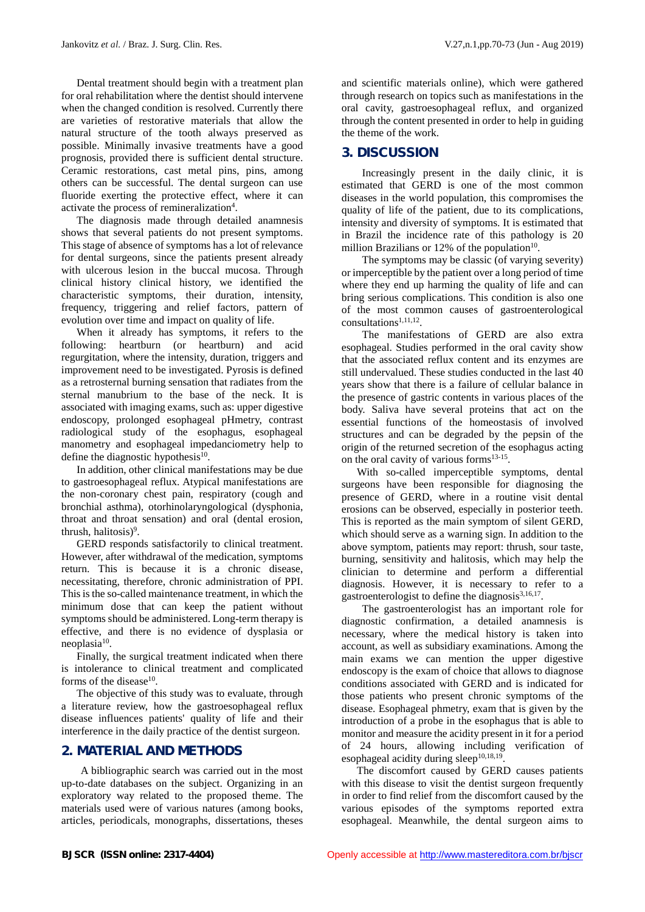Dental treatment should begin with a treatment plan for oral rehabilitation where the dentist should intervene when the changed condition is resolved. Currently there are varieties of restorative materials that allow the natural structure of the tooth always preserved as possible. Minimally invasive treatments have a good prognosis, provided there is sufficient dental structure. Ceramic restorations, cast metal pins, pins, among others can be successful. The dental surgeon can use fluoride exerting the protective effect, where it can activate the process of remineralization<sup>4</sup>.

The diagnosis made through detailed anamnesis shows that several patients do not present symptoms. This stage of absence of symptoms has a lot of relevance for dental surgeons, since the patients present already with ulcerous lesion in the buccal mucosa. Through clinical history clinical history, we identified the characteristic symptoms, their duration, intensity, frequency, triggering and relief factors, pattern of evolution over time and impact on quality of life.

When it already has symptoms, it refers to the following: heartburn (or heartburn) and acid regurgitation, where the intensity, duration, triggers and improvement need to be investigated. Pyrosis is defined as a retrosternal burning sensation that radiates from the sternal manubrium to the base of the neck. It is associated with imaging exams, such as: upper digestive endoscopy, prolonged esophageal pHmetry, contrast radiological study of the esophagus, esophageal manometry and esophageal impedanciometry help to define the diagnostic hypothesis $10$ .

In addition, other clinical manifestations may be due to gastroesophageal reflux. Atypical manifestations are the non-coronary chest pain, respiratory (cough and bronchial asthma), otorhinolaryngological (dysphonia, throat and throat sensation) and oral (dental erosion, thrush, halitosis)<sup>9</sup>.

GERD responds satisfactorily to clinical treatment. However, after withdrawal of the medication, symptoms return. This is because it is a chronic disease, necessitating, therefore, chronic administration of PPI. This is the so-called maintenance treatment, in which the minimum dose that can keep the patient without symptoms should be administered. Long-term therapy is effective, and there is no evidence of dysplasia or neoplasia<sup>10</sup>.

Finally, the surgical treatment indicated when there is intolerance to clinical treatment and complicated forms of the disease<sup>10</sup>.

The objective of this study was to evaluate, through a literature review, how the gastroesophageal reflux disease influences patients' quality of life and their interference in the daily practice of the dentist surgeon.

## **2. MATERIAL AND METHODS**

A bibliographic search was carried out in the most up-to-date databases on the subject. Organizing in an exploratory way related to the proposed theme. The materials used were of various natures (among books, articles, periodicals, monographs, dissertations, theses

and scientific materials online), which were gathered through research on topics such as manifestations in the oral cavity, gastroesophageal reflux, and organized through the content presented in order to help in guiding the theme of the work.

## **3. DISCUSSION**

Increasingly present in the daily clinic, it is estimated that GERD is one of the most common diseases in the world population, this compromises the quality of life of the patient, due to its complications, intensity and diversity of symptoms. It is estimated that in Brazil the incidence rate of this pathology is 20 million Brazilians or 12% of the population $10$ .

The symptoms may be classic (of varying severity) or imperceptible by the patient over a long period of time where they end up harming the quality of life and can bring serious complications. This condition is also one of the most common causes of gastroenterological  $\text{consultations}^{1,11,12}.$ 

The manifestations of GERD are also extra esophageal. Studies performed in the oral cavity show that the associated reflux content and its enzymes are still undervalued. These studies conducted in the last 40 years show that there is a failure of cellular balance in the presence of gastric contents in various places of the body. Saliva have several proteins that act on the essential functions of the homeostasis of involved structures and can be degraded by the pepsin of the origin of the returned secretion of the esophagus acting on the oral cavity of various forms<sup>13-15</sup>.

With so-called imperceptible symptoms, dental surgeons have been responsible for diagnosing the presence of GERD, where in a routine visit dental erosions can be observed, especially in posterior teeth. This is reported as the main symptom of silent GERD, which should serve as a warning sign. In addition to the above symptom, patients may report: thrush, sour taste, burning, sensitivity and halitosis, which may help the clinician to determine and perform a differential diagnosis. However, it is necessary to refer to a gastroenterologist to define the diagnosis<sup>3,16,17</sup>.

The gastroenterologist has an important role for diagnostic confirmation, a detailed anamnesis is necessary, where the medical history is taken into account, as well as subsidiary examinations. Among the main exams we can mention the upper digestive endoscopy is the exam of choice that allows to diagnose conditions associated with GERD and is indicated for those patients who present chronic symptoms of the disease. Esophageal phmetry, exam that is given by the introduction of a probe in the esophagus that is able to monitor and measure the acidity present in it for a period of 24 hours, allowing including verification of esophageal acidity during sleep $10,18,19$ .

The discomfort caused by GERD causes patients with this disease to visit the dentist surgeon frequently in order to find relief from the discomfort caused by the various episodes of the symptoms reported extra esophageal. Meanwhile, the dental surgeon aims to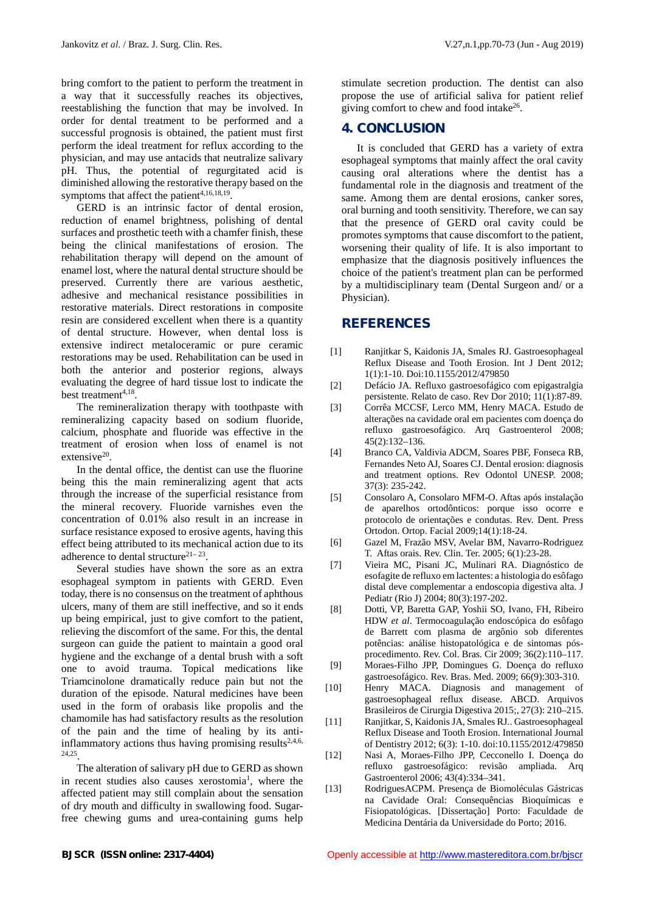bring comfort to the patient to perform the treatment in a way that it successfully reaches its objectives, reestablishing the function that may be involved. In order for dental treatment to be performed and a successful prognosis is obtained, the patient must first perform the ideal treatment for reflux according to the physician, and may use antacids that neutralize salivary pH. Thus, the potential of regurgitated acid is diminished allowing the restorative therapy based on the symptoms that affect the patient<sup> $4,16,18,19$ </sup>.

GERD is an intrinsic factor of dental erosion, reduction of enamel brightness, polishing of dental surfaces and prosthetic teeth with a chamfer finish, these being the clinical manifestations of erosion. The rehabilitation therapy will depend on the amount of enamel lost, where the natural dental structure should be preserved. Currently there are various aesthetic, adhesive and mechanical resistance possibilities in restorative materials. Direct restorations in composite resin are considered excellent when there is a quantity of dental structure. However, when dental loss is extensive indirect metaloceramic or pure ceramic restorations may be used. Rehabilitation can be used in both the anterior and posterior regions, always evaluating the degree of hard tissue lost to indicate the best treatment<sup>4,18</sup>.

The remineralization therapy with toothpaste with [3] remineralizing capacity based on sodium fluoride, calcium, phosphate and fluoride was effective in the treatment of erosion when loss of enamel is not extensive<sup>20</sup>.

In the dental office, the dentist can use the fluorine being this the main remineralizing agent that acts through the increase of the superficial resistance from the mineral recovery. Fluoride varnishes even the concentration of 0.01% also result in an increase in surface resistance exposed to erosive agents, having this effect being attributed to its mechanical action due to its [6] adherence to dental structure<sup>21–23</sup>.

Several studies have shown the sore as an extra [7] esophageal symptom in patients with GERD. Even today, there is no consensus on the treatment of aphthous ulcers, many of them are still ineffective, and so it ends up being empirical, just to give comfort to the patient, relieving the discomfort of the same. For this, the dental surgeon can guide the patient to maintain a good oral hygiene and the exchange of a dental brush with a soft one to avoid trauma. Topical medications like Triamcinolone dramatically reduce pain but not the [10] duration of the episode. Natural medicines have been used in the form of orabasis like propolis and the chamomile has had satisfactory results as the resolution of the pain and the time of healing by its antiinflammatory actions thus having promising results $2,4,6$ , 24,25

 $\frac{5}{12}$ .<br>The alteration of salivary pH due to GERD as shown in recent studies also causes xerostomia<sup>1</sup>, where the affected patient may still complain about the sensation [13] of dry mouth and difficulty in swallowing food. Sugarfree chewing gums and urea-containing gums help

stimulate secretion production. The dentist can also propose the use of artificial saliva for patient relief giving comfort to chew and food intake<sup>26</sup>.

## **4. CONCLUSION**

It is concluded that GERD has a variety of extra esophageal symptoms that mainly affect the oral cavity causing oral alterations where the dentist has a fundamental role in the diagnosis and treatment of the same. Among them are dental erosions, canker sores, oral burning and tooth sensitivity. Therefore, we can say that the presence of GERD oral cavity could be promotes symptoms that cause discomfort to the patient, worsening their quality of life. It is also important to emphasize that the diagnosis positively influences the choice of the patient's treatment plan can be performed by a multidisciplinary team (Dental Surgeon and/ or a Physician).

#### **REFERENCES**

- [1] Ranjitkar S, Kaidonis JA, Smales RJ. Gastroesophageal Reflux Disease and Tooth Erosion. Int J Dent 2012; 1(1):1-10. Doi:10.1155/2012/479850
- Defácio JA. Refluxo gastroesofágico com epigastralgia persistente. Relato de caso. Rev Dor 2010; 11(1):87-89.
- [3] Corrêa MCCSF, Lerco MM, Henry MACA. Estudo de alterações na cavidade oral em pacientes com doença do refluxo gastroesofágico. Arq Gastroenterol 2008; 45(2):132–136.
- [4] Branco CA, Valdivia ADCM, Soares PBF, Fonseca RB, Fernandes Neto AJ, Soares CJ. Dental erosion: diagnosis and treatment options. Rev Odontol UNESP. 2008; 37(3): 235-242.
- [5] Consolaro A, Consolaro MFM-O. Aftas após instalação de aparelhos ortodônticos: porque isso ocorre e protocolo de orientações e condutas. Rev. Dent. Press Ortodon. Ortop. Facial 2009;14(1):18-24.
- [6] Gazel M, Frazão MSV, Avelar BM, Navarro-Rodriguez T. Aftas orais. Rev. Clin. Ter. 2005; 6(1):23-28.
- [7] Vieira MC, Pisani JC, Mulinari RA. Diagnóstico de esofagite de refluxo em lactentes: a histologia do esôfago distal deve complementar a endoscopia digestiva alta. J Pediatr (Rio J) 2004; 80(3):197-202.
- Dotti, VP, Baretta GAP, Yoshii SO, Ivano, FH, Ribeiro HDW *et al*. Termocoagulação endoscópica do esôfago de Barrett com plasma de argônio sob diferentes potências: análise histopatológica e de sintomas pós procedimento. Rev. Col. Bras. Cir 2009; 36(2):110–117.
- Moraes-Filho JPP, Domingues G. Doença do refluxo gastroesofágico. Rev. Bras. Med. 2009; 66(9):303-310.
- Henry MACA. Diagnosis and management of gastroesophageal reflux disease. ABCD. Arquivos Brasileiros de Cirurgia Digestiva 2015;, 27(3): 210–215.
- Ranjitkar, S, Kaidonis JA, Smales RJ.. Gastroesophageal Reflux Disease and Tooth Erosion. International Journal of Dentistry 2012; 6(3): 1-10. doi:10.1155/2012/479850
- [12] Nasi A, Moraes-Filho JPP, Cecconello I. Doença do refluxo gastroesofágico: revisão ampliada. Arq Gastroenterol 2006; 43(4):334–341.
- [13] RodriguesACPM. Presença de Biomoléculas Gástricas na Cavidade Oral: Consequências Bioquímicas e Fisiopatológicas. [Dissertação] Porto: Faculdade de Medicina Dentária da Universidade do Porto; 2016.